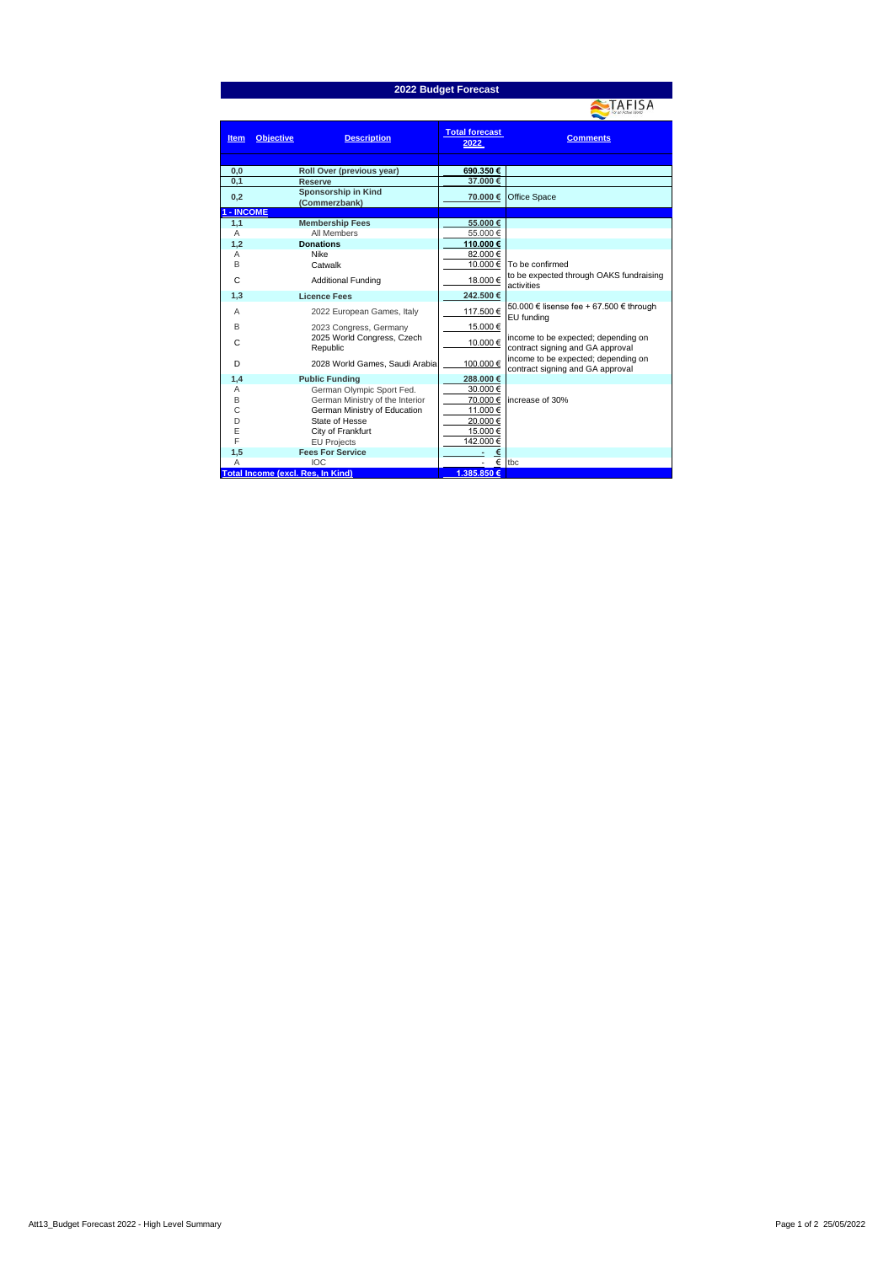| 2022 Budget Forecast |                                          |                               |                                                                         |  |  |  |  |
|----------------------|------------------------------------------|-------------------------------|-------------------------------------------------------------------------|--|--|--|--|
|                      |                                          |                               | AFISA                                                                   |  |  |  |  |
| <b>Item</b>          | <b>Objective</b><br><b>Description</b>   | <b>Total forecast</b><br>2022 | <b>Comments</b>                                                         |  |  |  |  |
| 0.0                  | Roll Over (previous year)                | 690.350€                      |                                                                         |  |  |  |  |
| 0.1                  | <b>Reserve</b>                           | 37.000 €                      |                                                                         |  |  |  |  |
| 0,2                  | Sponsorship in Kind<br>(Commerzbank)     | 70.000 €                      | Office Space                                                            |  |  |  |  |
| - INCOME             |                                          |                               |                                                                         |  |  |  |  |
| 1,1                  | <b>Membership Fees</b>                   | 55.000€                       |                                                                         |  |  |  |  |
| Α                    | All Members                              | 55.000€                       |                                                                         |  |  |  |  |
| 1.2                  | <b>Donations</b>                         | 110.000€                      |                                                                         |  |  |  |  |
| Α                    | Nike                                     | 82.000 €                      |                                                                         |  |  |  |  |
| B                    | Catwalk                                  | 10.000 €                      | To be confirmed                                                         |  |  |  |  |
| C                    | <b>Additional Funding</b>                | 18.000 €                      | to be expected through OAKS fundraising<br>activities                   |  |  |  |  |
| 1,3                  | <b>Licence Fees</b>                      | 242.500 €                     |                                                                         |  |  |  |  |
| Α                    | 2022 European Games, Italy               | 117.500 €                     | 50.000 € lisense fee + 67.500 € through<br>EU fundina                   |  |  |  |  |
| B                    | 2023 Congress, Germany                   | 15.000 €                      |                                                                         |  |  |  |  |
| C                    | 2025 World Congress, Czech<br>Republic   | 10.000€                       | income to be expected; depending on<br>contract signing and GA approval |  |  |  |  |
| D                    | 2028 World Games, Saudi Arabia           | 100.000 €                     | income to be expected; depending on<br>contract signing and GA approval |  |  |  |  |
| 1,4                  | <b>Public Funding</b>                    | 288.000€                      |                                                                         |  |  |  |  |
| А                    | German Olympic Sport Fed.                | 30.000 €                      |                                                                         |  |  |  |  |
| B                    | German Ministry of the Interior          | 70.000 €                      | increase of 30%                                                         |  |  |  |  |
| C                    | German Ministry of Education             | 11.000 €                      |                                                                         |  |  |  |  |
| D                    | State of Hesse                           | 20.000€                       |                                                                         |  |  |  |  |
| E                    | City of Frankfurt                        | 15.000 €                      |                                                                         |  |  |  |  |
| F                    | <b>EU Projects</b>                       | 142.000 €                     |                                                                         |  |  |  |  |
| 1,5                  | <b>Fees For Service</b>                  | €                             |                                                                         |  |  |  |  |
| Α                    | <b>IOC</b>                               | €                             | tbc                                                                     |  |  |  |  |
|                      | <b>Total Income (excl. Res, In Kind)</b> | 1.385.850 €                   |                                                                         |  |  |  |  |